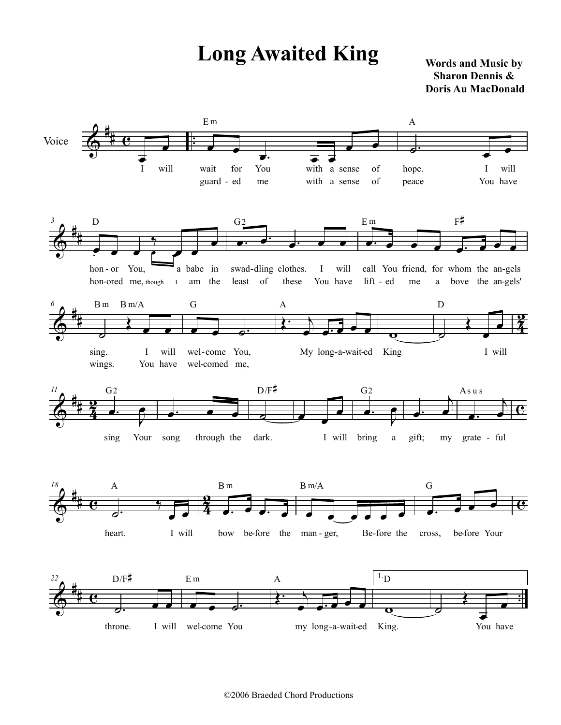## **Long Awaited King** Words and Music by

 **Sharon Dennis & Doris Au MacDonald**